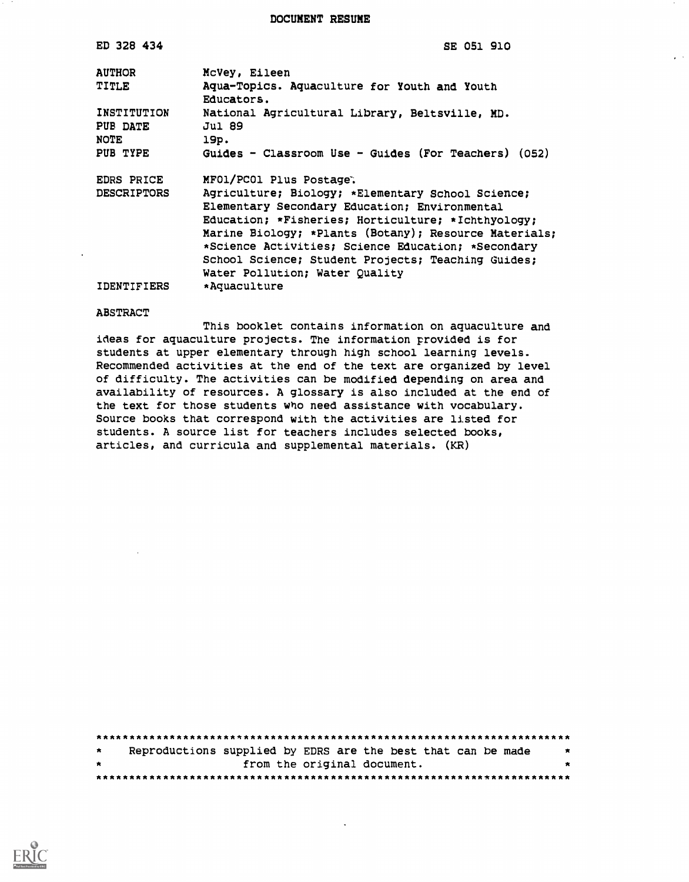DOCUMENT RESUME

| ED 328 434              | SE 051 910                                                 |
|-------------------------|------------------------------------------------------------|
| <b>AUTHOR</b>           | McVey, Eileen                                              |
| TITLE                   | Aqua-Topics. Aquaculture for Youth and Youth<br>Educators. |
| INSTITUTION<br>PUB DATE | National Agricultural Library, Beltsville, MD.<br>Jul 89   |
| NOTE                    | 19p.                                                       |
| PUB TYPE                | Guides - Classroom Use - Guides (For Teachers) $(052)$     |
| <b>EDRS PRICE</b>       | MFO1/PCO1 Plus Postage.                                    |
| <b>DESCRIPTORS</b>      | Agriculture; Biology; *Elementary School Science;          |
|                         | Elementary Secondary Education; Environmental              |
|                         | Education; *Fisheries; Horticulture; *Ichthyology;         |
|                         | Marine Biology; *Plants (Botany); Resource Materials;      |
|                         | *Science Activities; Science Education; *Secondary         |
|                         | School Science; Student Projects; Teaching Guides;         |
|                         | Water Pollution; Water Quality                             |
| <b>IDENTIFIERS</b>      | *Aquaculture                                               |
| <b>ABSTRACT</b>         |                                                            |

This booklet contains information on aquaculture and ideas for aquaculture projects. The information provided is for students at upper elementary through high school learning levels. Recommended activities at the end of the text are organized by level of difficulty. The activities can be modified depending on area and availability of resources. A glossary is also included at the end of the text for those students who need assistance with vocabulary. Source books that correspond with the activities are listed for students. A source list for teachers includes selected books, articles, and curricula and supplemental materials. (KR)

| $\star$ |  | Reproductions supplied by EDRS are the best that can be made | $\overline{\phantom{a}}$ |
|---------|--|--------------------------------------------------------------|--------------------------|
| $\star$ |  | from the original document.                                  |                          |
|         |  |                                                              |                          |

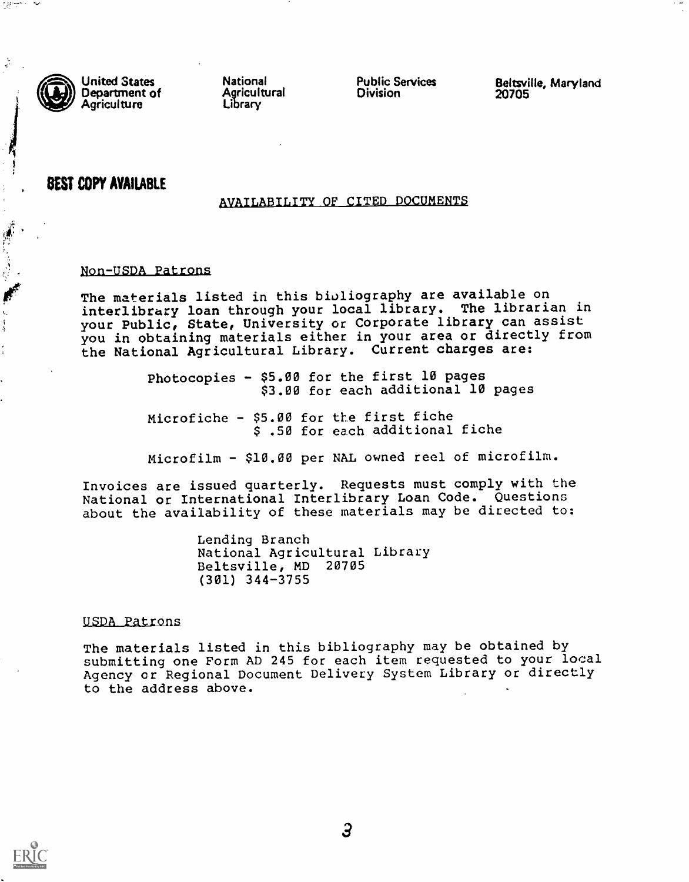

**SAME SEARCH** 

United States Department of<br>Agriculture National Agricultural Library Public Services Division

Beltsville, Maryland 20705

# . BEST COPY AVAILABLE

#### AVAILABILITY OF CITED DOCUMENTS

#### Non-USDA Patrons

The materials listed in this bibliography are available on interlibrary loan through your local library. The librarian in your Public, State, University or Corporate library can assist you in obtaining materials either in your area or directly from the National Agricultural Library. Current charges are:

> Photocopies - \$5.00 for the first 10 pages \$3.00 for each additional 10 pages

Microfiche - \$5.00 for the first fiche \$ .50 for each additional fiche

Microfilm - \$10.00 per NAL owned reel of microfilm.

Invoices are issued quarterly. Requests must comply with the National or International Interlibrary Loan Code. Questions about the availability of these materials may be directed to:

> Lending Branch National Agricultural Library Beltsville, MD 20705 (301) 344-3755

#### USDA Patrons

The materials listed in this bibliography may be obtained by submitting one Form AD 245 for each item requested to your local Agency or Regional Document Delivery System Library or directly to the address above.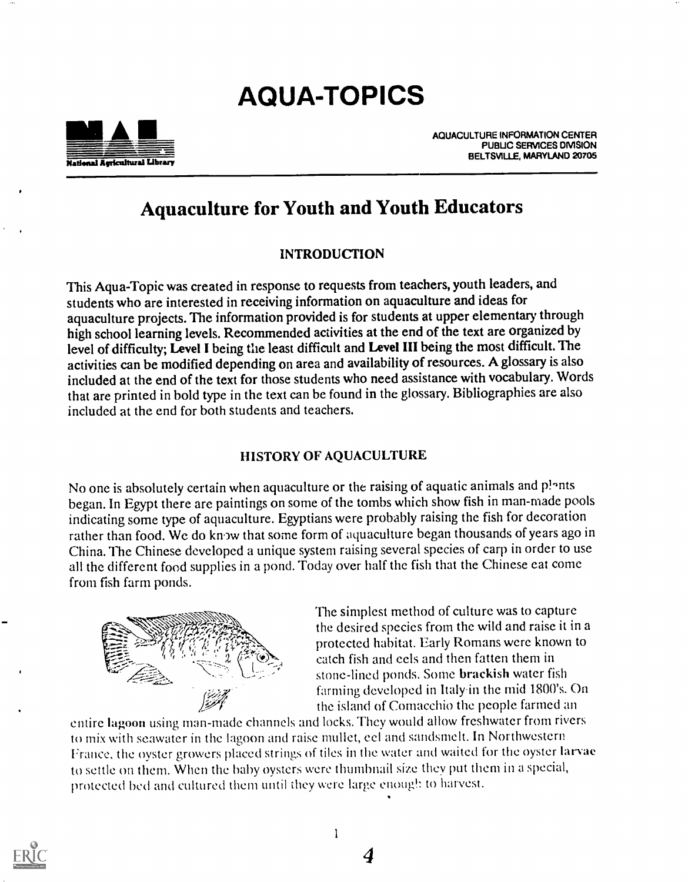# AQUA-TOPICS



AQUACULTURE INFORMATION CENTER PUBUC SERVICES DIVISION BELTSVILLE, MARYLAND 20705

# Aquaculture for Youth and Youth Educators

# INTRODUCTION

This Aqua-Topic was created in response to requests from teachers, youth leaders, and students who are interested in receiving information on aquaculture and ideas for aquaculture projects. The information provided is for students at upper elementary through high school learning levels. Recommended activities at the end of the text are organized by level of difficulty; Level I being the least difficult and Level III being the most difficult. The activities can be modified depending on area and availability of resources. A glossary is also included at the end of the text for those students who need assistance with vocabulary. Words that are printed in bold type in the text can be found in the glossary. Bibliographies are also included at the end for both students and teachers.

# HISTORY OF AQUACULTURE

No one is absolutely certain when aquaculture or the raising of aquatic animals and p!ants began. In Egypt there are paintings on some of the tombs which show fish in man-made pools indicating some type of aquaculture. Egyptians were probably raising the fish for decoration rather than food. We do know that some form of aquaculture began thousands of years ago in China. The Chinese developed a unique system raising several species of carp in order to use all the different food supplies in a pond. Today over half the fish that the Chinese eat come from fish farm ponds.



The simplest method of culture was to capture protected habitat. Early Romans were known to the desired species from the wild and raise it in a catch fish and eels and then fatten them in stone-lined ponds. Some brackish water fish farming developed in Italyin the mid I800's. On the island of Comacchio the people farmed an

entire lagoon using man-made channels and locks. They would allow freshwater from rivers to mix with seawater in the lagoon and raise mullet, eel and sandsmelt. In Northwestern France, the oyster growers placed strings of tiles in the water and waited for the oyster larvae to settle on them. When the baby oysters were thumbnail size they put them in a special, protected bed and cultured them until they were large enough to harvest.

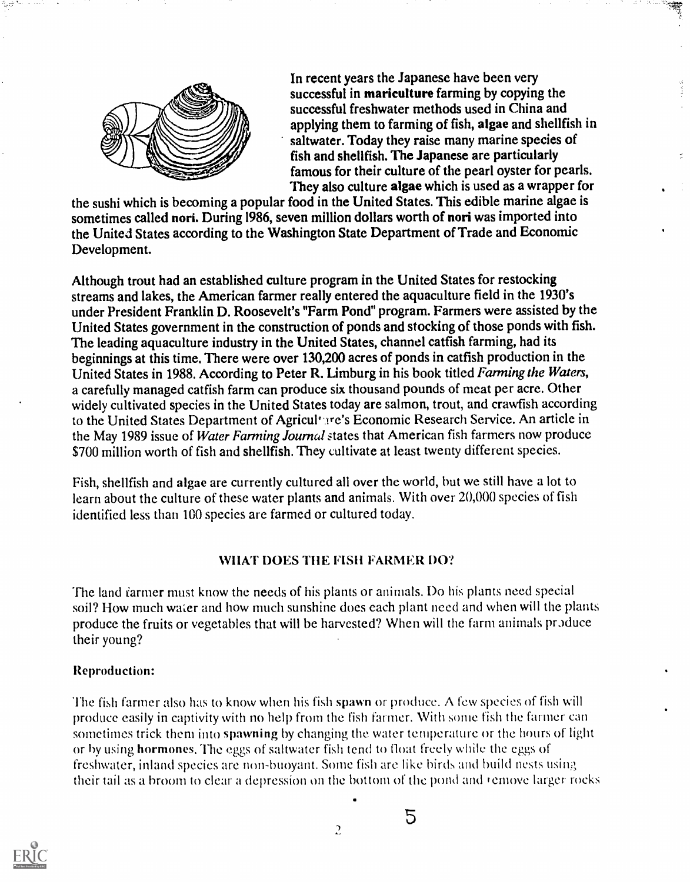

In recent years the Japanese have been very successful in mariculture farming by copying the successful freshwater methods used in China and applying them to farming of fish, algae and shellfish in saltwater. Today they raise many marine species of fish and shellfish. The Japanese are particularly famous for their culture of the pearl oyster for pearls. They also culture algae which is used as a wrapper for

the sushi which is becoming a popular food in the United States. This edible marine algae is sometimes called nori. During 1986, seven million dollars worth of nori was imported into the United States according to the Washington State Department of Trade and Economic Development.

Although trout had an established culture program in the United States for restocking streams and lakes, the American farmer really entered the aquaculture field in the 1930's under President Franklin D. Roosevelt's "Farm Pond" program. Farmers were assisted by the United States government in the construction of ponds and stocking of those ponds with fish. The leading aquaculture industry in the United States, channel catfish farming, had its beginnings at this time. There were over 130,200 acres of ponds in catfish production in the United States in 1988. According to Peter R. Limburg in his book titled Farming the Waters, a carefully managed catfish farm can produce six thousand pounds of meat per acre. Other widely cultivated species in the United States today are salmon, trout, and crawfish according to the United States Department of Agricult ire's Economic Research Service. An article in the May 1989 issue of Water Farming Journal states that American fish farmers now produce \$700 million worth of fish and shellfish. They cultivate at least twenty different species.

Fish, shellfish and algae are currently cultured all over the world, but we still have a lot to learn about the culture of these water plants and animals. With over 20,000 species of fish identified less than 100 species are farmed or cultured today.

# WHAT DOES THE FISH FARMER DO?

The land farmer must know the needs of his plants or animals. Do his plants need special soil? How much water and how much sunshine does each plant need and when will the plants produce the fruits or vegetables that will be harvested? When will the farm animals produce their young?

# Reproduction:

The fish farmer also has to know when his fish spawn or produce. A few species of fish will produce easily in captivity with no help from the fish farmer. With sonic fish the farmer can sometimes trick them into spawning by changing the water temperature or the hours of light or by using hormones. The eggs of saltwater fish tend to float freely while the eggs of freshwater, inland species are non-buoyant. Some fish are like birds and build nests using. their tail as a broom to clear a depression on the bottom of the pond and remove larger rocks



 $\overline{a}$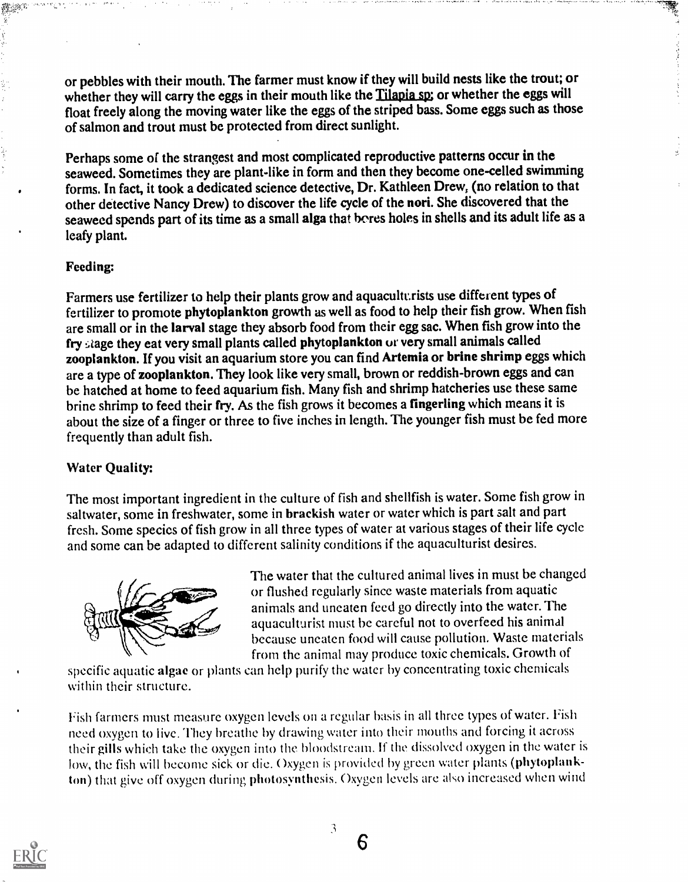or pebbles with their mouth. The farmer must know if they will build nests like the trout; or whether they will carry the eggs in their mouth like the Tilapia sp; or whether the eggs will float freely along the moving water like the eggs of the striped bass. Some eggs such as those of salmon and trout must be protected from direct sunlight.

en 1999.<br>Beginnings

Perhaps some of the strangest and most complicated reproductive patterns occur in the seaweed. Sometimes they are plant-like in form and then they become one-celled swimming forms. In fact, it took a dedicated science detective, Dr. Kathleen Drew, (no relation to that other detective Nancy Drew) to discover the life cycle of the nori. She discovered that the seaweed spends part of its time as a small alga that bores holes in shells and its adult life as a leafy plant.

# Feeding:

Farmers use fertilizer to help their plants grow and aquaculturists use different types of fertilizer to promote phytoplankton growth as well as food to help their fish grow. When fish are small or in the larval stage they absorb food from their egg sac. When fish grow into the fry stage they eat very small plants called phytoplankton or very small animals called zooplankton. If you visit an aquarium store you can find Artemia or brine shrimp eggs which are a type of zooplankton. They look like very small, brown or reddish-brown eggs and can be hatched at home to feed aquarium fish. Many fish and shrimp hatcheries use these same brine shrimp to feed their fry. As the fish grows it becomes a fingerling which means it is about the size of a finger or three to five inches in length. The younger fish must be fed more frequently than adult fish.

# Water Quality:

The most important ingredient in the culture of fish and shellfish is water. Some fish grow in saltwater, some in freshwater, some in brackish water or water which is part salt and part fresh. Some species of fish grow in all three types of water at various stages of their life cycle and some can be adapted to different salinity conditions if the aquaculturist desires.



The water that the cultured animal lives in must be changed or flushed regularly since waste materials from aquatic animals and uneaten feed go directly into the water. The aquaculturist must be careful not to overfeed his animal because uneaten food will cause pollution. Waste materials from the animal may produce toxic chemicals. Growth of

specific aquatic algae or plants can help purify the water by concentrating toxic chemicals within their structure.

Fish farmers must measure oxygen levels on a regular basis in all three types of water. Fish need oxygen to live. They breathe by drawing water into their mouths and forcing it across their gills which take the oxygen into the bloodstream. If the dissolved oxygen in the water is low, the fish will become sick or die. Oxygen is provided by green water plants (phytoplankton) that give off oxygen during photosynthesis. Oxygen levels are ako increased when wind

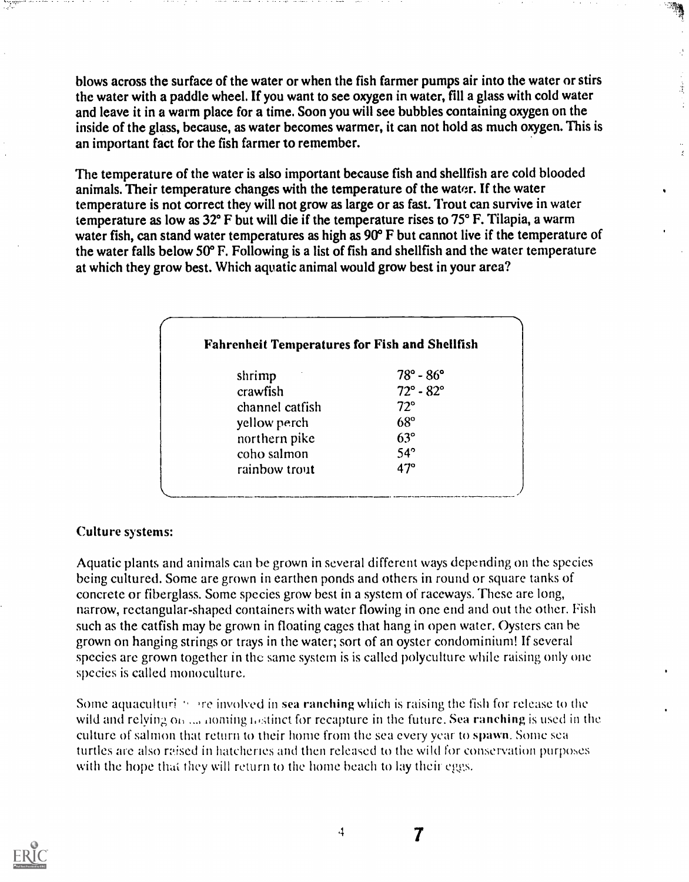blows across the surface of the water or when the fish farmer pumps air into the water or stirs the water with a paddle wheel. If you want to see oxygen in water, fill a glass with cold water and leave it in a warm place for a time. Soon you will see bubbles containing oxygen on the inside of the glass, because, as water becomes warmer, it can not hold as much oxygen. This is an important fact for the fish farmer to remember.

 $\frac{3}{2}$ 

The temperature of the water is also important because fish and shellfish are cold blooded animals. Their temperature changes with the temperature of the water. If the water temperature is not correct they will not grow as large or as fast. Trout can survive in water temperature as low as 32° F but will die if the temperature rises to 75° F. Tilapia, a warm water fish, can stand water temperatures as high as 90° F but cannot live if the temperature of the water falls below 50° F. Following is a list of fish and shellfish and the water temperature at which they grow best. Which aquatic animal would grow best in your area?

| <b>Fahrenheit Temperatures for Fish and Shellfish</b> |                           |
|-------------------------------------------------------|---------------------------|
| shrimp                                                | $78^{\circ} - 86^{\circ}$ |
| crawfish                                              | $72^{\circ} - 82^{\circ}$ |
| channel catfish                                       | $72^{\circ}$              |
| yellow perch                                          | $68^\circ$                |
| northern pike                                         | $63^\circ$                |
| coho salmon                                           | $54^\circ$                |
| rainbow trout                                         | $47^\circ$                |

# Culture systems:

Aquatic plants and animals can be grown in several different ways depending on the species being cultured. Some are grown in earthen ponds and others in round or square tanks of concrete or fiberglass. Some species grow best in a system of raceways. These are long, narrow, rectangular-shaped containers with water flowing in one end and out the other. Fish such as the catfish may be grown in floating cages that hang in opcn water. Oysters can he grown on hanging strings or trays in the water; sort of an oyster condominium! If several species are grown together in the same system is is called polyculture while raising only one species is called monoculture.

Some aquaculturi  $\gamma$  are involved in sea ranching which is raising the fish for release to the wild and relying  $\omega_0$ ,  $\omega_0$  noming iostinct for recapture in the future. Sea ranching is used in the culture of salmon that return to their home from the sea every year to spawn. Some sea turtles are also raised in hatcheries and then released to the wild for conservation purposes with the hope that they will return to the home beach to lay their eggs.



 $\boldsymbol{7}$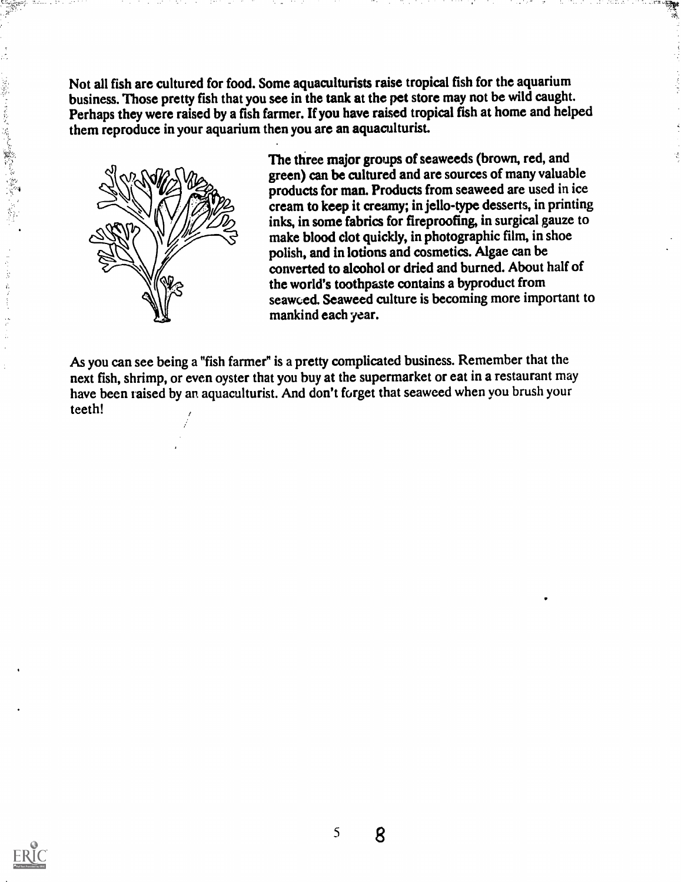Not all fish are cultured for food. Some aquaculturists raise tropical fish for the aquarium business. Those pretty fish that you see in the tank at the pet store may not be wild caught. Perhaps they were raised by a fish farmer. If you have raised tropical fish at home and helped them reproduce in your aquarium then you are an aquaculturist.



The three major groups of seaweeds (brown, red, and green) can be cultured and are sources of many valuable products for man. Products from seaweed are used in ice cream to keep it creamy; in jello-type desserts, in printing inks, in some fabrics for fireproofing, in surgical gauze to make blood clot quickly, in photographic film, in shoe polish, and in lotions and cosmetics. Algae can be converted to alcohol or dried and burned. About half of the world's toothpaste contains a byproduct from seawced. Seaweed culture is becoming more important to mankind each year.

भूम<br>र

As you can see being a "fish farmer" is a pretty complicated business. Remember that the next fish, shrimp, or even oyster that you buy at the supermarket or eat in a restaurant may have been taised by an aquaculturist. And don't forget that seaweed when you brush your teeth!



(Page) ところも、「通信人の数などを確認し、「不可可」

计字段

着 医生物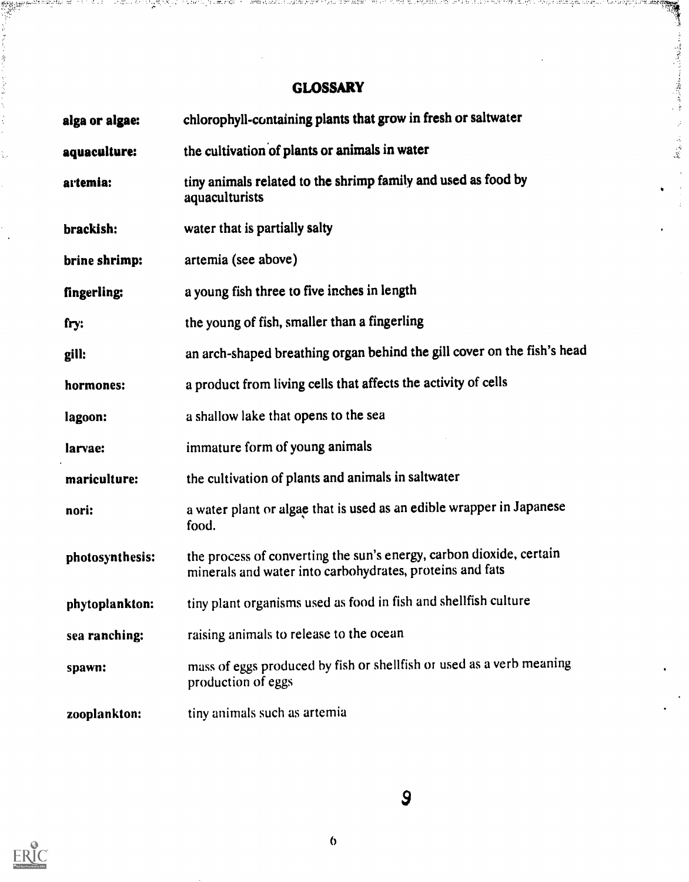# **GLOSSARY**

i Marchi (1971). Na chatata ta an an 1930 ta 200 mata 1919 cati est

 $\bar{\beta}$  $\frac{1}{2}$  $\overline{1}$ 

ו פכון שבין יותר מון מוריד ויותר ליותר וצמונים ומונים במיישו.

-47

ang taong pali<br>Pang

s i porto di capangg

| alga or algae:  | chlorophyll-containing plants that grow in fresh or saltwater                                                                   |  |  |  |
|-----------------|---------------------------------------------------------------------------------------------------------------------------------|--|--|--|
| aquaculture:    | the cultivation of plants or animals in water                                                                                   |  |  |  |
| artemia:        | tiny animals related to the shrimp family and used as food by<br>aquaculturists                                                 |  |  |  |
| brackish:       | water that is partially salty                                                                                                   |  |  |  |
| brine shrimp:   | artemia (see above)                                                                                                             |  |  |  |
| fingerling:     | a young fish three to five inches in length                                                                                     |  |  |  |
| fry:            | the young of fish, smaller than a fingerling                                                                                    |  |  |  |
| gill:           | an arch-shaped breathing organ behind the gill cover on the fish's head                                                         |  |  |  |
| hormones:       | a product from living cells that affects the activity of cells                                                                  |  |  |  |
| lagoon:         | a shallow lake that opens to the sea                                                                                            |  |  |  |
| larvae:         | immature form of young animals                                                                                                  |  |  |  |
| mariculture:    | the cultivation of plants and animals in saltwater                                                                              |  |  |  |
| nori:           | a water plant or algae that is used as an edible wrapper in Japanese<br>food.                                                   |  |  |  |
| photosynthesis: | the process of converting the sun's energy, carbon dioxide, certain<br>minerals and water into carbohydrates, proteins and fats |  |  |  |
| phytoplankton:  | tiny plant organisms used as food in fish and shellfish culture                                                                 |  |  |  |
| sea ranching:   | raising animals to release to the ocean                                                                                         |  |  |  |
| spawn:          | mass of eggs produced by fish or shellfish or used as a verb meaning<br>production of eggs                                      |  |  |  |
| zooplankton:    | tiny animals such as artemia                                                                                                    |  |  |  |



 $\overline{9}$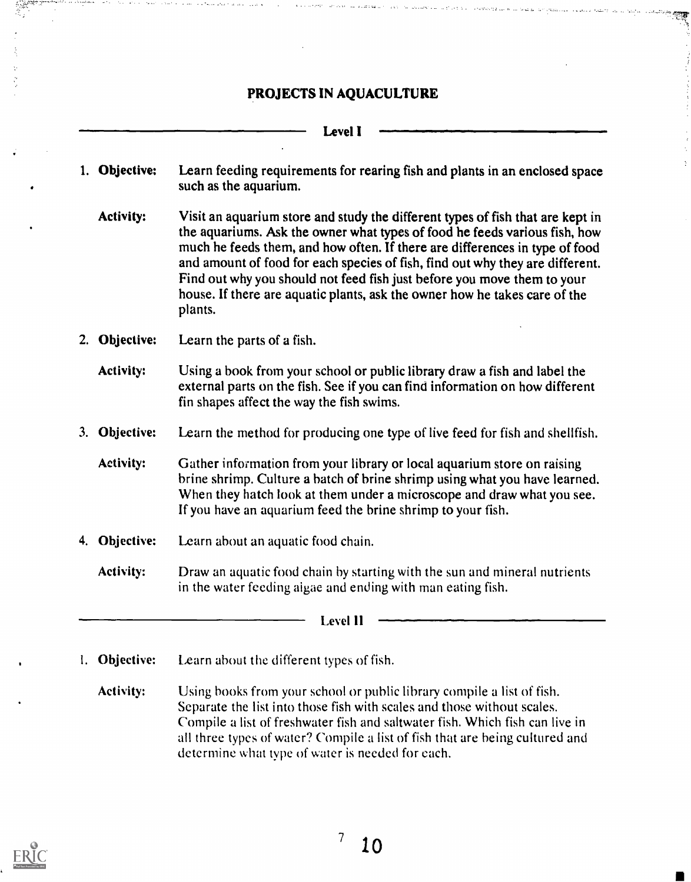# PROJECTS IN AQUACULTURE

#### Level I

- 1. Objective: Learn feeding requirements for rearing fish and plants in an enclosed space such as the aquarium.
	- Activity: Visit an aquarium store and study the different types of fish that are kept in the aquariums. Ask the owner what types of food he feeds various fish, how much he feeds them, and how often. If there are differences in type of food and amount of food for each species of fish, find out why they are different. Find out why you should not feed fish just before you move them to your house. If there are aquatic plants, ask the owner how he takes care of the plants.
- 2. Objective: Learn the parts of a fish.

Activity: Using a book from your school or public library draw a fish and label the external parts on the fish. See if you can find information on how different fin shapes affect the way the fish swims.

3. Objective: Learn the method for producing one type of live feed for fish and shellfish.

Activity: Gather information from your library or local aquarium store on raising brine shrimp. Culture a batch of brine shrimp using what you have learned. When they hatch look at them under a microscope and draw what you see. If you have an aquarium feed the brine shrimp to your fish.

- 4. Objective: Learn about an aquatic food chain.
	- Activity: Draw an aquatic food chain by starting with the sun and mineral nutrients in the water feeding algae and ending with man eating fish.

Level 11

- 1. Objective: Learn about the different types of fish.
	- Activity: Using books from your school or public library compile a list of fish. Separate the list into those fish with scales and those without scales. Compile a list of freshwater fish and saltwater fish. Which fish can live in all three types of water? Compile a list of fish that are being cultured and determine what type of water is needed for each.

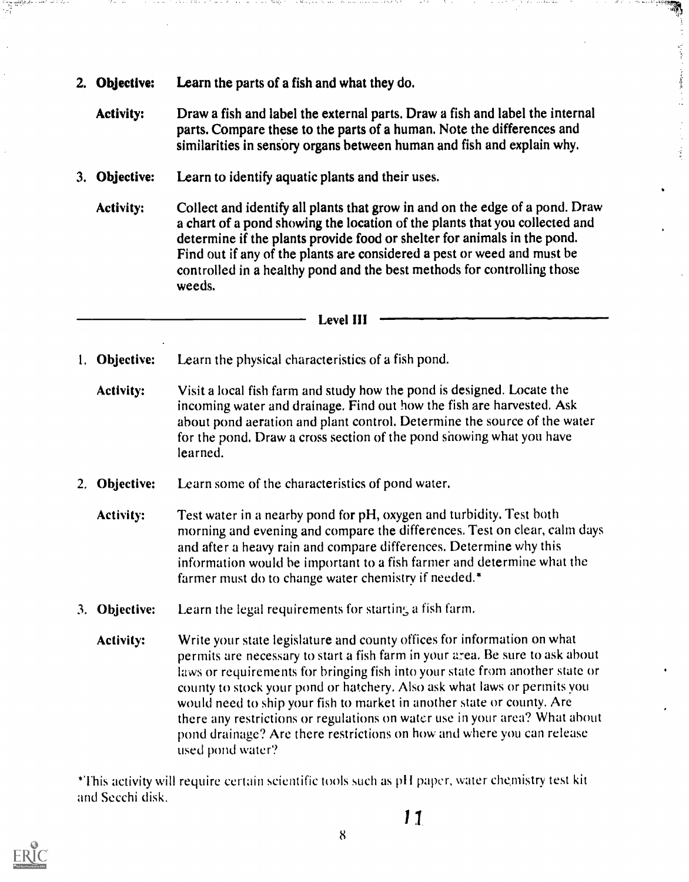2. Objective: Learn the parts of a fish and what they do.

 $\sim$   $\sim$ 

Activity: Draw a fish and label the external parts. Draw a fish and label the internal parts. Compare these to the parts of a human. Note the differences and similarities in sensory organs between human and fish and explain why.

Anders & N. 2015, 15

 $\mathcal{V}_\text{c}$  and  $\mathcal{V}_\text{c}$  is a proportion of the proof of  $\mathcal{V}_\text{c}$ 

ý

- 3. Objective: Learn to identify aquatic plants and their uses.
	- Activity: Collect and identify all plants that grow in and on the edge of a pond. Draw a chart of a pond showing the location of the plants that you collected and determine if the plants provide food or shelter for animals in the pond. Find out if any of the plants are considered a pest or weed and must be controlled in a healthy pond and the best methods for controlling those weeds.

#### Level III

- 1, Objective: Learn the physical characteristics of a fish pond.
	- Activity: Visit a local fish farm and study how the pond is designed. Locate the incoming water and drainage. Find out how the fish are harvested. Ask about pond aeration and plant control. Determine the source of the water for the pond. Draw a cross section of the pond showing what you have learned.
- 2, Objective: Learn some of the characteristics of pond water.
	- Activity: Test water in a nearby pond for pH, oxygen and turbidity. Test both morning and evening and compare the differences. Test on clear, calm days and after a heavy rain and compare differences. Determine why this information would he important to a fish farmer and determine what the farmer must do to change water chemistry if needed.\*
- 3. Objective: Learn the legal requirements for starting a fish farm.
	- Activity: Write your state legislature and county offices for information on what permits are necessary to start a fish farm in your area. Be sure to ask about laws or requirements for bringing fish into your state from another state or county to stock your pond or hatchery. Also ask what laws or permits you would need to ship your fish to market in another state or county. Are there any restrictions or regulations on water use in your area? What about pond drainage? Are there restrictions on how and where you can release used pond water?

\*This activity will require certain scientific tools such as p11 paper, water chemistry test kit and Secchi disk,



1 1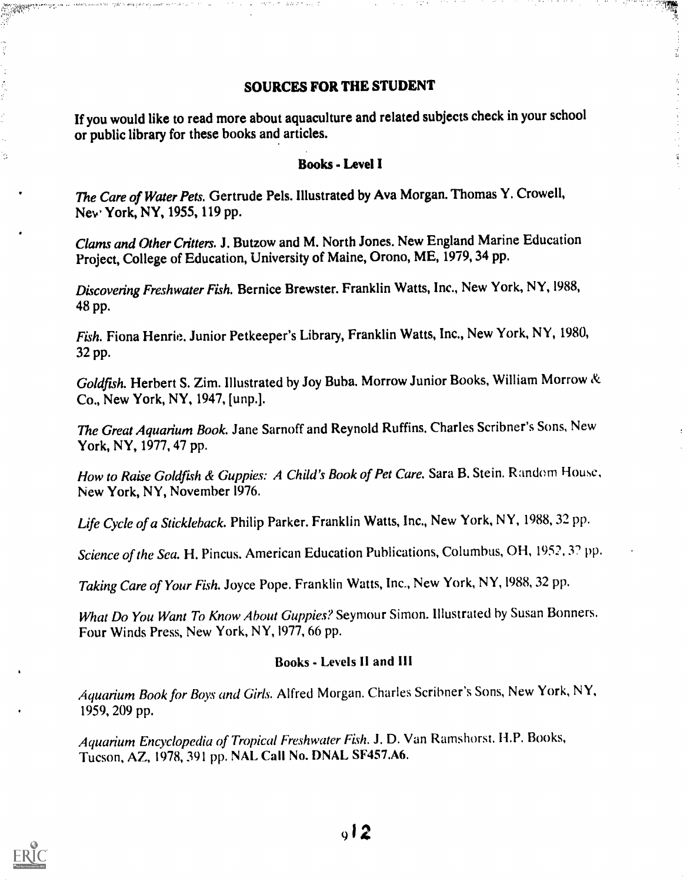#### SOURCES FOR THE STUDENT

ia.<br>Na

If you would like to read more about aquaculture and related subjects check in your school or public library for these books and articles.

#### Books - Level I

The Care of Water Pets. Gertrude Pels. Illustrated by Ava Morgan. Thomas Y. Crowell, New York, NY, 1955, 119 pp.

Clams and Other Critters. J. Butzow and M. North Jones. New England Marine Education Project, College of Education, University of Maine, Orono, ME, 1979, 34 pp.

Discovering Freshwater Fish. Bernice Brewster. Franklin Watts, Inc., New York, NY, 1988, 48 pp.

Fish. Fiona Henrie. Junior Petkeeper's Library, Franklin Watts, Inc., New York, NY, 1980, 32 pp.

Goldfish. Herbert S. Zim. Illustrated by Joy Buba. Morrow Junior Books, William Morrow & Co., New York, NY, 1947, [unp.].

The Great Aquarium Book. Jane Sarnoff and Reynold Ruffins. Charles Scribner's Sons, New York, NY, 1977, 47 pp.

How to Raise Goldfish & Guppies: A Child's Book of Pet Care. Sara B. Stein. Random House, New York, NY, November 1976.

Life Cycle of a Stickleback. Philip Parker. Franklin Watts, Inc., New York, NY, 1988, 32 pp.

Science of the Sea. H. Pincus. American Education Publications, Columbus, OH, 1952. 3? pp.

Taking Care of Your Fish. Joyce Pope. Franklin Watts, Inc., New York, NY, 1988, 32 pp.

What Do You Want To Know About Guppies? Seymour Simon. Illustrated by Susan Bonners. Four Winds Press, New York, NY, 1977, 66 pp.

#### Books - Levels II and III

Aquarium Book for Boys and Girls. Alfred Morgan. Charles Scribner's Sons, New York, NY, 1959, 209 pp.

Aquarium Encyclopedia of Tropical Freshwater Fish. J. D. Van Ramshorst. H.P. Books, Tucson, AZ, 1978, 391 pp. NAL Call No. DNAL SF457.A6.



M.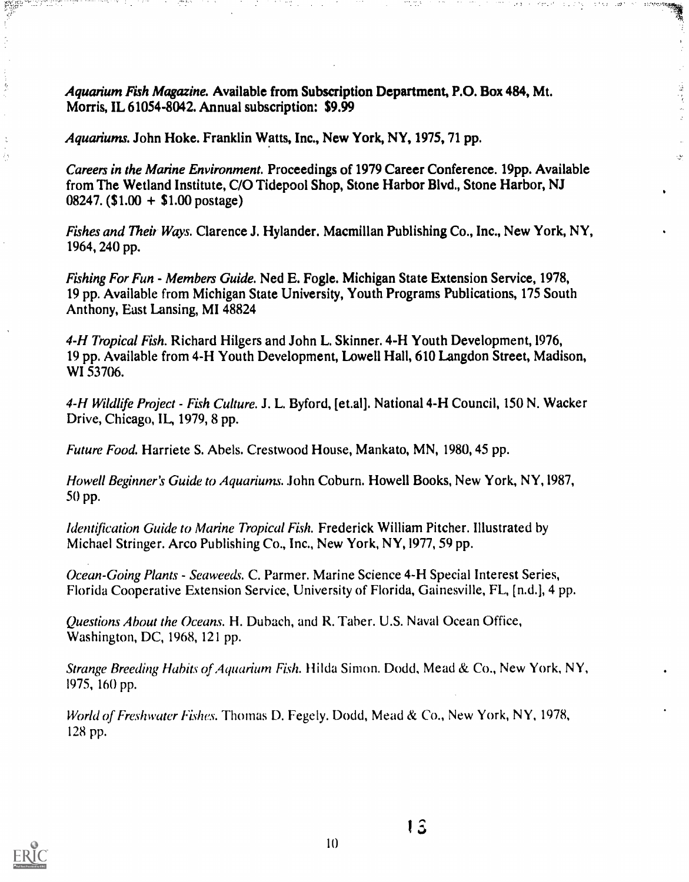Aquarium Fish Magazine. Available from Subscription Department, P.O. Box 484, Mt. Morris, IL 61054-8042. Annual subscription: \$9.99

Aquariums. John Hoke. Franklin Watts, Inc., New York, NY, 1975, 71 pp.

Careers in the Marine Environment. Proceedings of 1979 Career Conference. 19pp. Available from The Wetland Institute, C/O Tidepool Shop, Stone Harbor Blvd., Stone Harbor, NJ 08247. (\$1.00 + \$1.00 postage)

 $\hat{\omega}$ 

ليو.<br>مواليد

Fishes and Their Ways. Clarence J. Hylander. Macmillan Publishing Co., Inc., New York, NY, 1964, 240 pp.

Fishing For Fun - Members Guide. Ned E. Fogle. Michigan State Extension Service, 1978, 19 pp. Available from Michigan State University, Youth Programs Publications, 175 South Anthony, East Lansing, MI 48824

4-H Tropical Fish. Richard Hilgers and John L. Skinner. 4-H Youth Development, 1976, 19 pp. Available from 4-H Youth Development, Lowell Hall, 610 Langdon Street, Madison, WI 53706.

4-H Wildlife Project - Fish Culture. J. L. Byford, [et.al]. National 4-H Council, 150 N. Wacker Drive, Chicago, IL, 1979, 8 pp.

Future Food. Harriete S. Abels. Crestwood House, Mankato, MN, 1980, 45 pp.

Howell Beginner's Guide to Aquariums. John Coburn. Howell Books, New York, NY, 1987, 50 pp.

Identification Guide to Marine Tropical Fish. Frederick William Pitcher. Illustrated by Michael Stringer. Arco Publishing Co., Inc., New York, NY,1977, 59 pp.

Ocean-Going Plants - Seaweeds. C. Parmer. Marine Science 4-H Special Interest Series, Florida Cooperative Extension Service, University of Florida, Gainesville, FL, [n.d.J, 4 pp.

Questions About the Oceans. H. Duhach, and R. Taber. U.S. Naval Ocean Office, Washington, DC, 1968, 121 pp.

Strange Breeding Habits of Aquarium Fish. Hilda Simon. Dodd, Mead & Co., New York, NY, 1975, 160 pp.

World of Freshwater Fishes. Thomas D. Fegely. Dodd, Mead & Co., New York, NY, 1978, 128 pp.



an an Taobhail

Ò,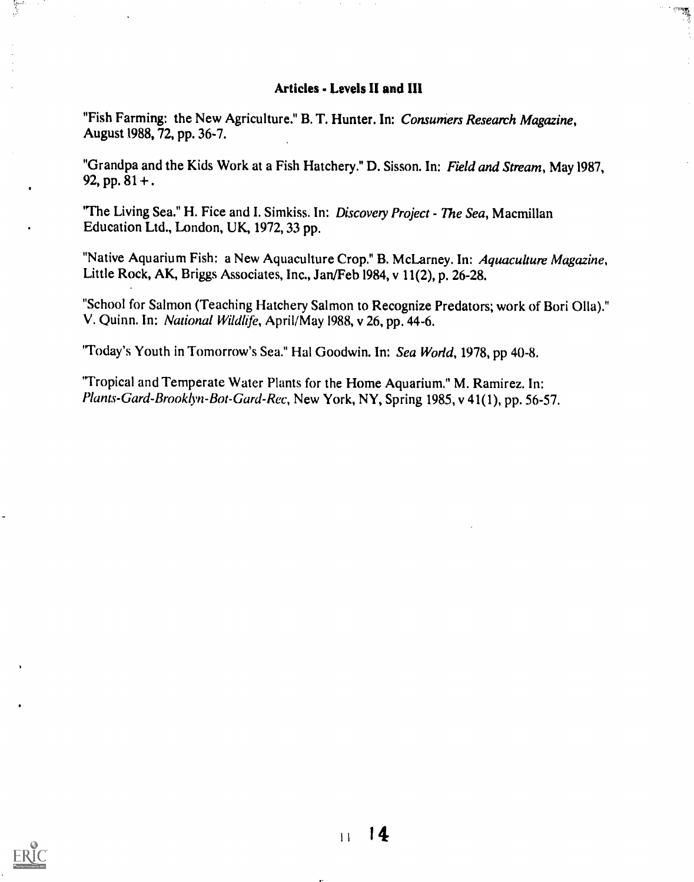#### Articles - Levels II and III

懸

"Fish Farming: the New Agriculture." B. T. Hunter. In: Consumers Research Magazine, August 1988, 72, pp. 36-7.

"Grandpa and the Kids Work at a Fish Hatchery." D. Sisson. In: Field and Stream, May 1987, 92, pp.  $81 +$ .

"The Living Sea." H. Fice and I. Simkiss. In: Discovery Project - The Sea, Macmillan Education Ltd., London, UK, 1972, 33 pp.

"Native Aquarium Fish: a New Aquaculture Crop." B. McLarney. In: Aquaculture Magazine, Little Rock, AK, Briggs Associates, Inc., Jan/Feb 1984, v 11(2), p. 26-28.

"School for Salmon (Teaching Hatchery Salmon to Recognize Predators; work of Bori 011a)." V. Quinn. In: National Wildlife, April/May 1988, v 26, pp. 44-6.

'Today's Youth in Tomorrow's Sea." Hal Goodwin. In: Sea World, 1978, pp 40-8.

'Tropical and Temperate Water Plants for the Home Aquarium." M. Ramirez. In: Plants-Gard-Brooklyn-Bot-Gard-Rec, New York, NY, Spring 1985, v 41(1), pp. 56-57.

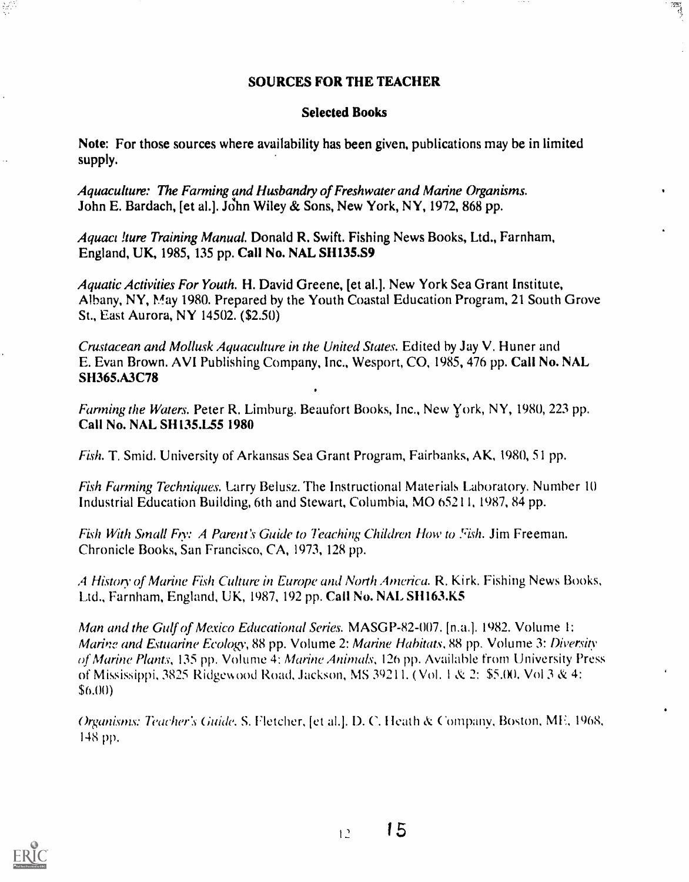#### SOURCES FOR THE TEACHER

 $\frac{1}{\sqrt{2}}$ 

#### Selected Books

Note: For those sources where availability has been given, publications may be in limited supply.

Aquaculture: The Farming and Husbandry of Freshwater and Marine Organisms. John E. Bardach, [et al.]. John Wiley & Sons, New York, NY, 1972, 868 pp.

Aquaci lure Training Manual. Donald R. Swift. Fishing News Books, Ltd., Farnham, England, UK, 1985, 135 pp. Call No. NAL SH135.S9

Aquatic Activities For Youth. H. David Greene, [et al.]. New York Sea Grant Institute, Albany, NY, May 1980. Prepared by the Youth Coastal Education Program, 21 South Grove St., East Aurora, NY 14502. (\$2.50)

Crustacean and Mollusk Aquaculture in the United States. Edited by Jay V. Huner and E. Evan Brown. AVI Publishing Company, Inc., Wesport, CO, 1985, 476 pp. Call No. NAL SH365.A3C78

Farming the Waters. Peter R. Limburg. Beaufort Books, Inc., New York, NY, 1980, 223 pp. Call No. NAL SH135.L55 1980

Fish. T. Smid. University of Arkansas Sea Grant Program, Fairbanks, AK, 1980, 51 pp.

Fish Farming Techniques. Larry Belusz. The Instructional Materials Laboratory. Number 10 Industrial Education Building, 6th and Stewart, Columbia, MO 65211, 1987, 84 pp.

Fish With Small Fry: A Parent's Guide to Teaching Children How to Fish. Jim Freeman. Chronicle Books, San Francisco, CA, 1973, 128 pp.

A History of Marine Fish Culture in Europe and North America. R. Kirk. Fishing News Books, Ltd., Farnham, England, UK, 1987, 192 pp. Call No. NAL SH163.K5

Man and the Gulf of Mexico Educational Series. MASGP-82-007. [n.a.]. 1982. Volume 1: Marine and Estuarine Ecology, 88 pp. Volume 2: Marine Habitats, 88 pp. Volume 3: Diversity of Marine Plants, 135 pp. Volume 4: Marine Animals, 126 pp. Available from University Press of Mississippi, 3825 Ridgokood Road, Jackson, MS 39211. ( Vol. I & 2: \$5.00. Vol 3 & 4:  $$6.00)$ 

Organisms: Teacher's Guide. S. Fletcher, [et al.]. D. C. I leath & Company, Boston, MF, 1968, 148 pp.

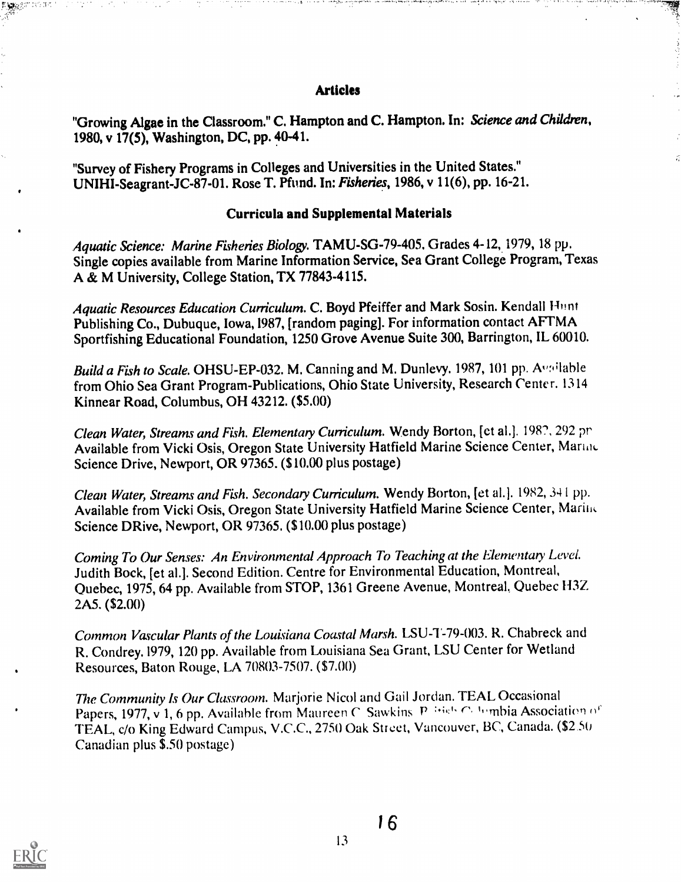#### Articles

나이는 다 원보 '오보라' '나마' 나라에서 보도록 해외 위치 수 있어라면 어디 보물 때문으로 보조하고 있는 거 아니라. '' 450 분 스토 스크' '' '북 아들이'' 그리는 그 모그 나 나니

"Growing Algae in the Classroom." C. Hampton and C. Hampton. In: Science and Children, 1980, v 17(5), Washington, DC, pp. 40-41.

"Survey of Fishery Programs in Colleges and Universities in the United States." UNIHI-Seagrant-JC-87-01. Rose T. Pfund. In: Fisheries, 1986, v 11(6), pp. 16-21.

#### Curricula and Supplemental Materials

Aquatic Science: Marine Fisheries Biology. TAMU-SG-79-405. Grades 4-12, 1979, 18 pp. Single copies available from Marine Information Service, Sea Grant College Program, Texas A & M University, College Station, TX 77843-4115.

Aquatic Resources Education Curriculum. C. Boyd Pfeiffer and Mark Sosin. Kendall Hunt Publishing Co., Dubuque, Iowa,1987, [random paging]. For information contact AFTMA Sportfishing Educational Foundation, 1250 Grove Avenue Suite 300, Barrington, IL 60010.

Build a Fish to Scale. OHSU-EP-032. M. Canning and M. Dunlevy. 1987, 101 pp. Available from Ohio Sea Grant Program-Publications, Ohio State University, Research Center. 1314 Kinnear Road, Columbus, OH 43212. (\$5.00)

Clean Water, Streams and Fish. Elementary Curriculum. Wendy Borton, [et al.]. 1987, 292 pr Available from Vicki Osis, Oregon State University Hatfield Marine Science Center, Martine Science Drive, Newport, OR 97365. (\$10,00 plus postage)

Clean Water, Streams and Fish. Secondary Curriculum. Wendy Borton, [et al.]. 1982, 341 pp. Available from Vicki Osis, Oregon State University Hatfield Marine Science Center, Mario, Science DRive, Newport, OR 97365. (\$10.00 plus postage)

Coming To Our Senses: An Environmental Approach To Teaching at the Elementary Level. Judith Bock, [et al.]. Second Edition. Centre for Environmental Education, Montreal, Quebec, 1975, 64 pp. Available from STOP, 1361 Greene Avenue, Montreal, Quebec H3Z 2A5. (\$2.00)

Common Vascular Plants of the Louisiana Coastal Marsh. LSU-1-79-003. R. Chabreck and R. Condrey.1979, 120 pp. Available from Louisiana Sea Grant, LSU Center for Wetland Resources, Baton Rouge, LA 70803-7507. (\$7.00)

The Community Is Our Classroom. Marjorie Nicol and Gail Jordan. TEAL Occasional Papers, 1977, v 1, 6 pp. Available from Maureen C Sawkins P  $^{14}$ 65 C Iumbia Association of TEAL, c/o King Edward Campus, V.C.C., 2750 Oak Street, Vancouver, BC, Canada. (\$2.50 Canadian plus \$.50 postage)

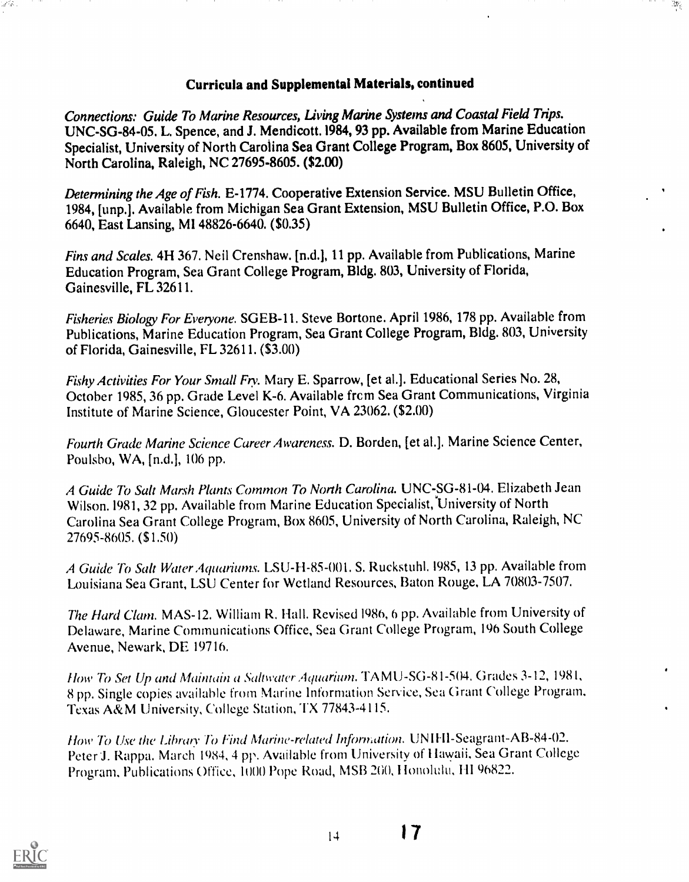# Curricula and Supplemental Materials, continued

 $\frac{1}{2}$ 

Connections: Guide To Marine Resources, Living Marine Systems and Coastal Field Trips. UNC-SG-84-05. L. Spence, and J. Mendicott.1984, 93 pp. Available from Marine Education Specialist, University of North Carolina Sea Grant College Program, Box 8605, University of North Carolina, Raleigh, NC 27695-8605. (\$2.00)

Determining the Age of Fish. E-1774. Cooperative Extension Service. MSU Bulletin Office, 1984, [unp.]. Available from Michigan Sea Grant Extension, MSU Bulletin Office, P.O. Box 6640, East Lansing, MI 48826-6640. (\$0.35)

Fins and Scales. 4H 367. Neil Crenshaw. [n.d.], 11 pp. Available from Publications, Marine Education Program, Sea Grant College Program, Bldg. 803, University of Florida, Gainesville, FL 32611.

Fisheries Biology For Everyone. SGEB-11. Steve Bortone. April 1986, 178 pp. Available from Publications, Marine Education Program, Sea Grant College Program, Bldg. 803, University of Florida, Gainesville, FL 32611. (\$3.00)

Fishy Activities For Your Small Fry. Mary E. Sparrow, [et al.]. Educational Series No. 28, October 1985, 36 pp. Grade Level K-6. Available frcm Sea Grant Communications, Virginia Institute of Marine Science, Gloucester Point, VA 23062. (\$2.00)

Fourth Grade Marine Science Career Awareness. D. Borden, [et al.]. Marine Science Center, Poulsho, WA, [n.d.], 106 pp.

A Guide To Salt Marsh Plants Common To North Carolina. UNC-SG-81-04. Elizabeth Jean Wilson. 1981, 32 pp. Available from Marine Education Specialist, University of North Carolina Sea Grant College Program, Box 8605, University of North Carolina, Raleigh, NC 27695-8605. (\$1.50)

A Guide To Salt Water Aquariums. LSU-H-85-001. S. Ruckstuhl. 1985, 13 pp. Available from Louisiana Sea Grant, LSU Center for Wetland Resources, Baton Rouge, LA 70803-7507.

The Hard Clam. MAS-12. William R. Hall. Revised 1986, 6 pp. Available from University of Delaware, Marine Communications Office, Sea Grant College Program, 196 South College Avenue, Newark, DE 19716.

How To Set Up and Maintain a Saltwater Aquarium. TA MU-SG-81-504. Grades 3-12, 1981, 8 pp. Single copies available from Marine Information Service, Sea Grant College Program. Texas A&M University, College Station, TX 77843-4115.

How To Use the Library To Find Marine-related Information. UNIFII-Seagrant-AB-84-02. Peter J. Rappa. March 1984, 4 pp. Available from University of Hawaii, Sea Grant College Program, Publications Office, 1000 Pope Road, MSB 200, Honolulu, HI 96822.



a Vil

 $|4$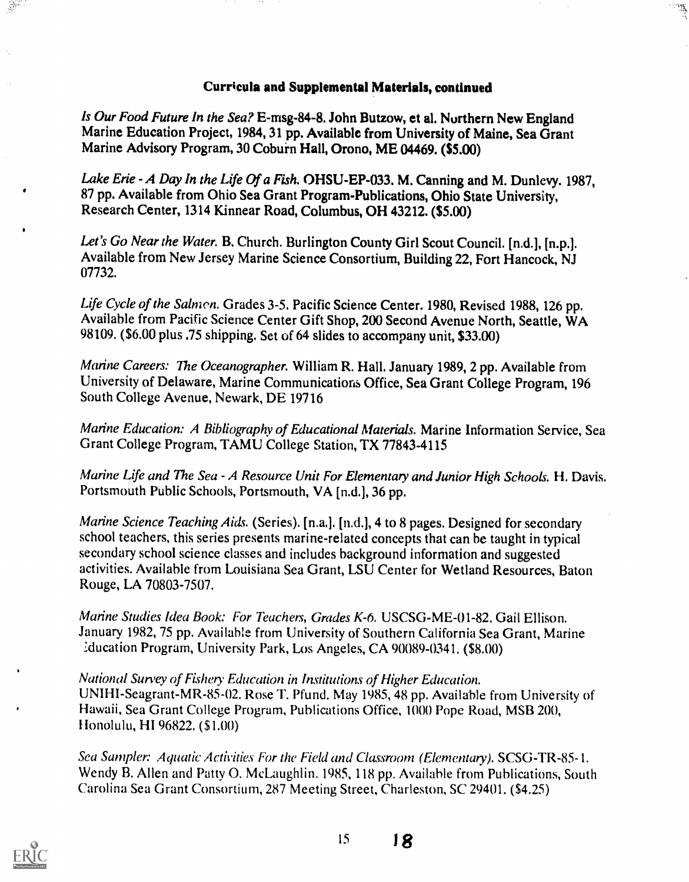#### Curricula and Supplemental Materials, continued

٠ä

Is Our Food Future In the Sea? E-rnsg-84-8. John Butzow, et al. Northern New England Marine Education Project, 1984, 31 pp. Available from University of Maine, Sea Grant Marine Advisory Program, 30 Coburn Hall, Orono, ME 04469. (\$5.00)

Lake Erie - A Day In the Life Of a Fish. OHSU-EP-033. M. Canning and M. Dunlevy. 1987, 87 pp. Available from Ohio Sea Grant Program-Publications, Ohio State University, Research Center, 1314 Kinnear Road, Columbus, OH 43212, (\$5.00)

Let's Go Near the Water. B. Church. Burlington County Girl Scout Council. [n.d.], [n.p.]. Available from New Jersey Marine Science Consortium, Building 22, Fort Hancock, NJ 07732.

Life Cycle of the Salmon. Grades 3-5. Pacific Science Center. 1980, Revised 1988, 126 pp. Available from Pacific Science Center Gift Shop, 200 Second Avenue North, Seattle, WA 98109. (\$6.00 plus .75 shipping. Set of 64 slides to accompany unit, \$33.00)

Marine Careers: The Oceanographer. William R. Hall. January 1989, 2 pp. Available from University of Delaware, Marine Communications Office, Sea Grant College Program, 196 South College Avenue, Newark, DE 19716

Marine Education: A Bibliography of Educational Materials. Marine Information Service, Sea Grant College Program, TAMU College Station, TX 77843-4115

Marine Life and The Sea - A Resource Unit For Elementary and Junior High Schools. H. Davis. Portsmouth Public Schools, Portsmouth, VA [n.d.], 36 pp.

Marine Science Teaching Aids. (Series). [n.a.]. [n.d.], 4 to 8 pages. Designed for secondary school teachers, this series presents marine-related concepts that can be taught in typical secondary school science classes and includes background information and suggested activities. Available from Louisiana Sea Grant, LSU Center for Wetland Resources, Baton Rouge, LA 70803-7507.

Marine Studies Idea Book: For Teachers, Grades K-6. USCSG-ME-01-82. Gail Ellison. January 1982, 75 pp. Available from University of Southern California Sea Grant, Marine :ducation Program, University Park, Los Angeles, CA 90089-0341. (\$8.00)

National Survey of Fishery Education in Institutions of Higher Education. UNIHI-Seagrant-MR-85-02. Rose T. Pfund. May 1985, 48 pp. Available from University of Hawaii, Sea Grant College Program, Publications Office, 1000 Pope Road, MSB 200, Honolulu, HI 96822. (\$1.00)

Sea Sampler: Aquatic Activities For the Field and Classroom (Elementary). SCSG-TR-85- 1. Wendy B. Allen and Patty 0. McLaughlin. 1985, 118 pp. Available from Publications, South Carolina Sea Grant Consortium, 287 Meeting Street, Charleston, SC 29401. (\$4.25)